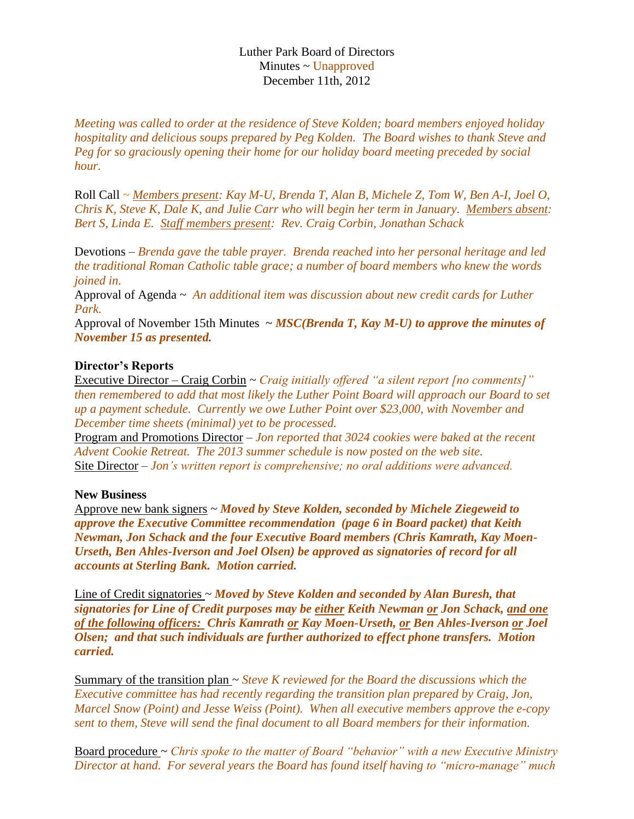## Luther Park Board of Directors Minutes ~ Unapproved December 11th, 2012

*Meeting was called to order at the residence of Steve Kolden; board members enjoyed holiday hospitality and delicious soups prepared by Peg Kolden. The Board wishes to thank Steve and Peg for so graciously opening their home for our holiday board meeting preceded by social hour.*

Roll Call *~ Members present: Kay M-U, Brenda T, Alan B, Michele Z, Tom W, Ben A-I, Joel O, Chris K, Steve K, Dale K, and Julie Carr who will begin her term in January. Members absent: Bert S, Linda E. Staff members present: Rev. Craig Corbin, Jonathan Schack*

Devotions – *Brenda gave the table prayer. Brenda reached into her personal heritage and led the traditional Roman Catholic table grace; a number of board members who knew the words joined in.*

Approval of Agenda ~ *An additional item was discussion about new credit cards for Luther Park.* 

Approval of November 15th Minutes ~ *MSC(Brenda T, Kay M-U) to approve the minutes of November 15 as presented.*

## **Director's Reports**

Executive Director – Craig Corbin ~ *Craig initially offered "a silent report [no comments]" then remembered to add that most likely the Luther Point Board will approach our Board to set up a payment schedule. Currently we owe Luther Point over \$23,000, with November and December time sheets (minimal) yet to be processed.*

Program and Promotions Director – *Jon reported that 3024 cookies were baked at the recent Advent Cookie Retreat. The 2013 summer schedule is now posted on the web site.* Site Director – *Jon's written report is comprehensive; no oral additions were advanced.*

## **New Business**

Approve new bank signers ~ *Moved by Steve Kolden, seconded by Michele Ziegeweid to approve the Executive Committee recommendation (page 6 in Board packet) that Keith Newman, Jon Schack and the four Executive Board members (Chris Kamrath, Kay Moen-Urseth, Ben Ahles-Iverson and Joel Olsen) be approved as signatories of record for all accounts at Sterling Bank. Motion carried.*

Line of Credit signatories ~ *Moved by Steve Kolden and seconded by Alan Buresh, that signatories for Line of Credit purposes may be either Keith Newman or Jon Schack, and one of the following officers: Chris Kamrath or Kay Moen-Urseth, or Ben Ahles-Iverson or Joel Olsen; and that such individuals are further authorized to effect phone transfers. Motion carried.*

Summary of the transition plan ~ *Steve K reviewed for the Board the discussions which the Executive committee has had recently regarding the transition plan prepared by Craig, Jon, Marcel Snow (Point) and Jesse Weiss (Point). When all executive members approve the e-copy sent to them, Steve will send the final document to all Board members for their information.*

Board procedure ~ *Chris spoke to the matter of Board "behavior" with a new Executive Ministry Director at hand. For several years the Board has found itself having to "micro-manage" much*